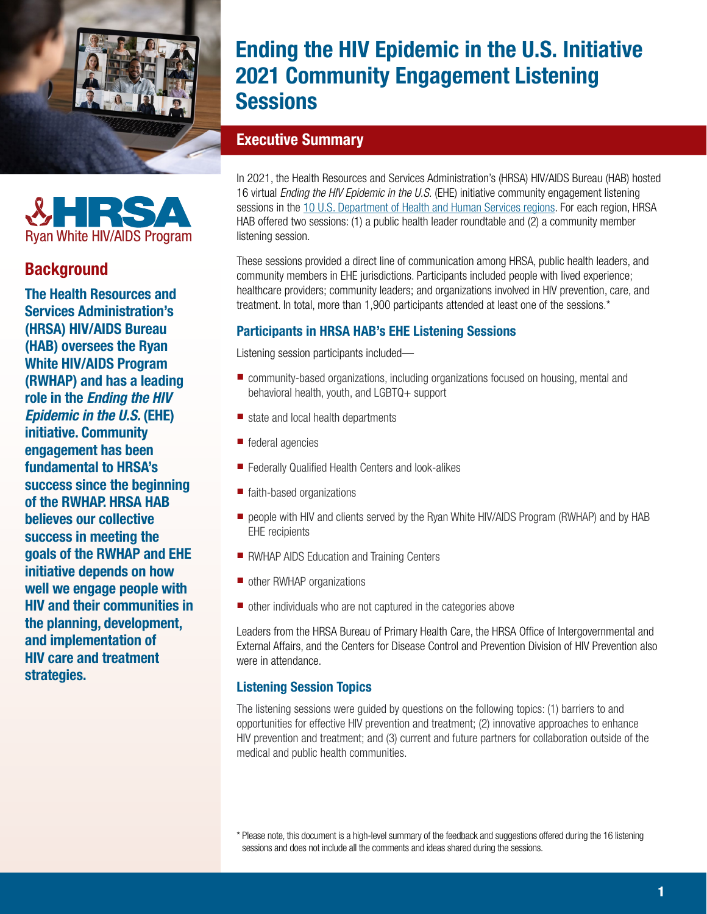

# Ending the HIV Epidemic in the U.S. Initiative 2021 Community Engagement Listening **Sessions**

# Executive Summary

In 2021, the Health Resources and Services Administration's (HRSA) HIV/AIDS Bureau (HAB) hosted 16 virtual *Ending the HIV Epidemic in the U.S.* (EHE) initiative community engagement listening sessions in the [10 U.S. Department of Health and Human Services regions.](https://www.hhs.gov/about/agencies/iea/regional-offices/index.html) For each region, HRSA HAB offered two sessions: (1) a public health leader roundtable and (2) a community member listening session.

These sessions provided a direct line of communication among HRSA, public health leaders, and community members in EHE jurisdictions. Participants included people with lived experience; healthcare providers; community leaders; and organizations involved in HIV prevention, care, and treatment. In total, more than 1,900 participants attended at least one of the sessions.\*

# Participants in HRSA HAB's EHE Listening Sessions

Listening session participants included—

- community-based organizations, including organizations focused on housing, mental and behavioral health, youth, and LGBTQ+ support
- state and local health departments
- federal agencies
- Federally Qualified Health Centers and look-alikes
- faith-based organizations
- people with HIV and clients served by the Ryan White HIV/AIDS Program (RWHAP) and by HAB EHE recipients
- RWHAP AIDS Education and Training Centers
- other RWHAP organizations
- other individuals who are not captured in the categories above

Leaders from the HRSA Bureau of Primary Health Care, the HRSA Office of Intergovernmental and External Affairs, and the Centers for Disease Control and Prevention Division of HIV Prevention also were in attendance.

## Listening Session Topics

The listening sessions were guided by questions on the following topics: (1) barriers to and opportunities for effective HIV prevention and treatment; (2) innovative approaches to enhance HIV prevention and treatment; and (3) current and future partners for collaboration outside of the medical and public health communities.



# **Background**

The Health Resources and Services Administration's (HRSA) HIV/AIDS Bureau (HAB) oversees the Ryan White HIV/AIDS Program (RWHAP) and has a leading role in the *Ending the HIV Epidemic in the U.S.* (EHE) initiative. Community engagement has been fundamental to HRSA's success since the beginning of the RWHAP. HRSA HAB believes our collective success in meeting the goals of the RWHAP and EHE initiative depends on how well we engage people with HIV and their communities in the planning, development, and implementation of HIV care and treatment strategies.

<sup>\*</sup> Please note, this document is a high-level summary of the feedback and suggestions offered during the 16 listening sessions and does not include all the comments and ideas shared during the sessions.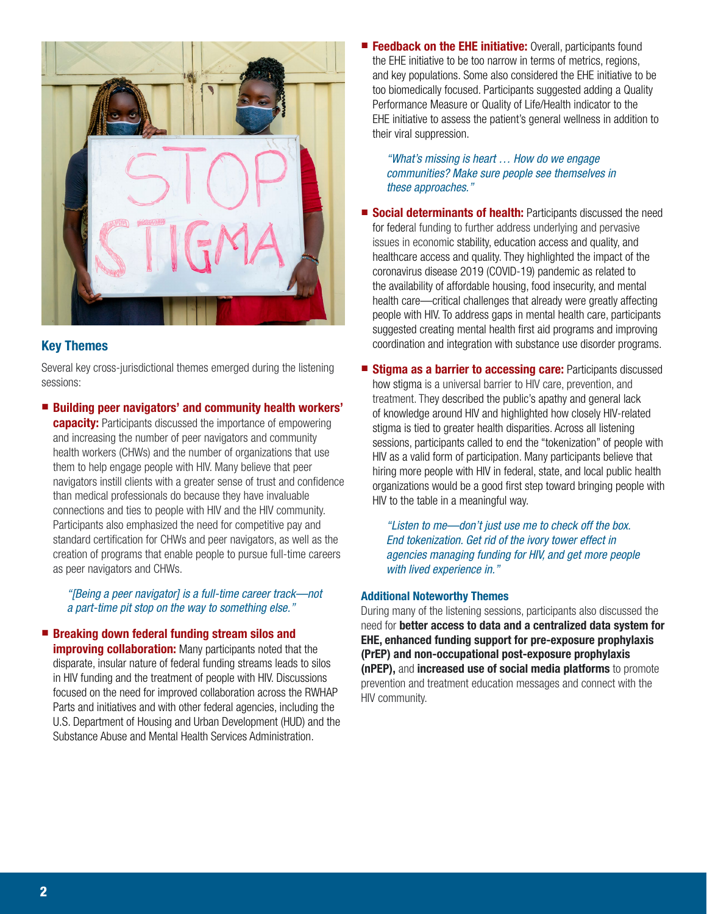

## Key Themes

Several key cross-jurisdictional themes emerged during the listening sessions:

■ Building peer navigators' and community health workers'

**capacity:** Participants discussed the importance of empowering and increasing the number of peer navigators and community health workers (CHWs) and the number of organizations that use them to help engage people with HIV. Many believe that peer navigators instill clients with a greater sense of trust and confidence than medical professionals do because they have invaluable connections and ties to people with HIV and the HIV community. Participants also emphasized the need for competitive pay and standard certification for CHWs and peer navigators, as well as the creation of programs that enable people to pursue full-time careers as peer navigators and CHWs.

*"[Being a peer navigator] is a full-time career track—not a part-time pit stop on the way to something else."*

## ■ Breaking down federal funding stream silos and **improving collaboration:** Many participants noted that the disparate, insular nature of federal funding streams leads to silos in HIV funding and the treatment of people with HIV. Discussions focused on the need for improved collaboration across the RWHAP Parts and initiatives and with other federal agencies, including the U.S. Department of Housing and Urban Development (HUD) and the

Substance Abuse and Mental Health Services Administration.

■ Feedback on the EHE initiative: Overall, participants found the EHE initiative to be too narrow in terms of metrics, regions, and key populations. Some also considered the EHE initiative to be too biomedically focused. Participants suggested adding a Quality Performance Measure or Quality of Life/Health indicator to the EHE initiative to assess the patient's general wellness in addition to their viral suppression.

*"What's missing is heart … How do we engage communities? Make sure people see themselves in these approaches."*

- Social determinants of health: Participants discussed the need for federal funding to further address underlying and pervasive issues in economic stability, education access and quality, and healthcare access and quality. They highlighted the impact of the coronavirus disease 2019 (COVID-19) pandemic as related to the availability of affordable housing, food insecurity, and mental health care—critical challenges that already were greatly affecting people with HIV. To address gaps in mental health care, participants suggested creating mental health first aid programs and improving coordination and integration with substance use disorder programs.
- Stigma as a barrier to accessing care: Participants discussed how stigma is a universal barrier to HIV care, prevention, and treatment. They described the public's apathy and general lack of knowledge around HIV and highlighted how closely HIV-related stigma is tied to greater health disparities. Across all listening sessions, participants called to end the "tokenization" of people with HIV as a valid form of participation. Many participants believe that hiring more people with HIV in federal, state, and local public health organizations would be a good first step toward bringing people with HIV to the table in a meaningful way.

*"Listen to me—don't just use me to check off the box. End tokenization. Get rid of the ivory tower effect in agencies managing funding for HIV, and get more people with lived experience in."*

#### Additional Noteworthy Themes

During many of the listening sessions, participants also discussed the need for better access to data and a centralized data system for EHE, enhanced funding support for pre-exposure prophylaxis (PrEP) and non-occupational post-exposure prophylaxis (nPEP), and increased use of social media platforms to promote prevention and treatment education messages and connect with the HIV community.